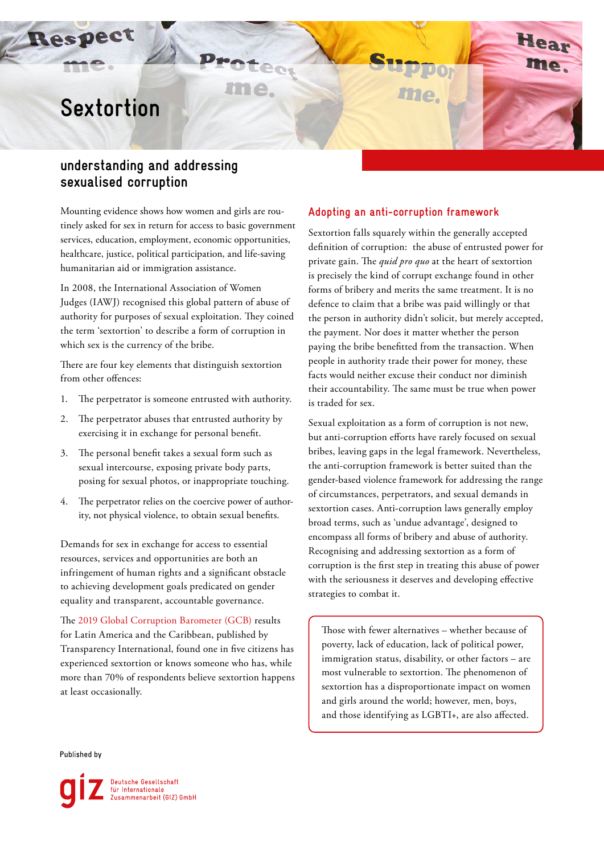# **Sextortion**

Respect

## **understanding and addressing sexualised corruption**

Mounting evidence shows how women and girls are routinely asked for sex in return for access to basic government services, education, employment, economic opportunities, healthcare, justice, political participation, and life-saving humanitarian aid or immigration assistance.

 $P_{max}$ 

me.

In 2008, the International Association of Women Judges (IAWJ) recognised this global pattern of abuse of authority for purposes of sexual exploitation. They coined the term 'sextortion' to describe a form of corruption in which sex is the currency of the bribe.

There are four key elements that distinguish sextortion from other offences:

- 1. The perpetrator is someone entrusted with authority.
- 2. The perpetrator abuses that entrusted authority by exercising it in exchange for personal benefit.
- 3. The personal benefit takes a sexual form such as sexual intercourse, exposing private body parts, posing for sexual photos, or inappropriate touching.
- 4. The perpetrator relies on the coercive power of authority, not physical violence, to obtain sexual benefits.

Demands for sex in exchange for access to essential resources, services and opportunities are both an infringement of human rights and a significant obstacle to achieving development goals predicated on gender equality and transparent, accountable governance.

The [2019 Global Corruption Barometer \(GCB\)](https://www.transparency.org/en/publications/global-corruption-barometer-latin-america-and-the-caribbean-2019) results for Latin America and the Caribbean, published by Transparency International, found one in five citizens has experienced sextortion or knows someone who has, while more than 70% of respondents believe sextortion happens at least occasionally.

## **Adopting an anti-corruption framework**

me.

Sextortion falls squarely within the generally accepted definition of corruption: the abuse of entrusted power for private gain. The *quid pro quo* at the heart of sextortion is precisely the kind of corrupt exchange found in other forms of bribery and merits the same treatment. It is no defence to claim that a bribe was paid willingly or that the person in authority didn't solicit, but merely accepted, the payment. Nor does it matter whether the person paying the bribe benefitted from the transaction. When people in authority trade their power for money, these facts would neither excuse their conduct nor diminish their accountability. The same must be true when power is traded for sex.

Sexual exploitation as a form of corruption is not new, but anti-corruption efforts have rarely focused on sexual bribes, leaving gaps in the legal framework. Nevertheless, the anti-corruption framework is better suited than the gender-based violence framework for addressing the range of circumstances, perpetrators, and sexual demands in sextortion cases. Anti-corruption laws generally employ broad terms, such as 'undue advantage', designed to encompass all forms of bribery and abuse of authority. Recognising and addressing sextortion as a form of corruption is the first step in treating this abuse of power with the seriousness it deserves and developing effective strategies to combat it.

Those with fewer alternatives – whether because of poverty, lack of education, lack of political power, immigration status, disability, or other factors – are most vulnerable to sextortion. The phenomenon of sextortion has a disproportionate impact on women and girls around the world; however, men, boys, and those identifying as LGBTI+, are also affected.

Published by

Deutsche Gesellschaft<br>für Internationale<br>Zusammenarbeit (GIZ) GmbH